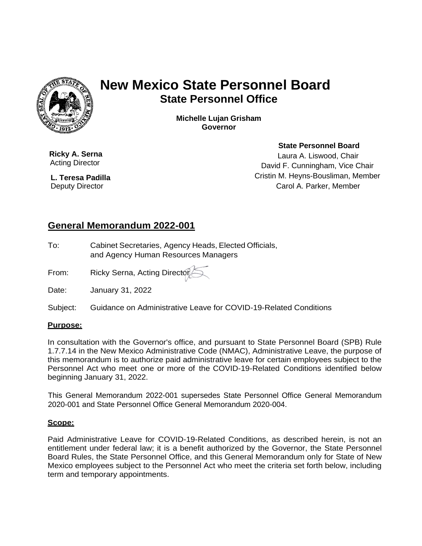

# **New Mexico State Personnel Board State Personnel Office**

**Michelle Lujan Grisham Governor**

**Ricky A. Serna** Acting Director

 **L. Teresa Padilla** Deputy Director

**State Personnel Board** Laura A. Liswood, Chair David F. Cunningham, Vice Chair Cristin M. Heyns-Bousliman, Member Carol A. Parker, Member

# **General Memorandum 2022-001**

To: Cabinet Secretaries, Agency Heads, Elected Officials, and Agency Human Resources Managers

From: Ricky Serna, Acting Director  $\rightarrow$ 

Date: January 31, 2022

Subject: Guidance on Administrative Leave for COVID-19-Related Conditions

# **Purpose:**

In consultation with the Governor's office, and pursuant to State Personnel Board (SPB) Rule 1.7.7.14 in the New Mexico Administrative Code (NMAC), Administrative Leave, the purpose of this memorandum is to authorize paid administrative leave for certain employees subject to the Personnel Act who meet one or more of the COVID-19-Related Conditions identified below beginning January 31, 2022.

This General Memorandum 2022-001 supersedes State Personnel Office General Memorandum 2020-001 and State Personnel Office General Memorandum 2020-004.

# **Scope:**

Paid Administrative Leave for COVID-19-Related Conditions, as described herein, is not an entitlement under federal law; it is a benefit authorized by the Governor, the State Personnel Board Rules, the State Personnel Office, and this General Memorandum only for State of New Mexico employees subject to the Personnel Act who meet the criteria set forth below, including term and temporary appointments.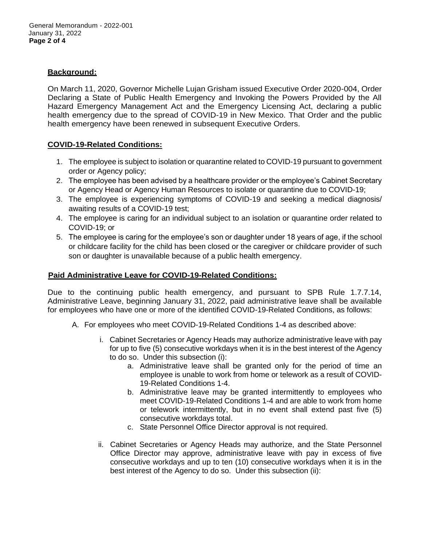#### **Background:**

On March 11, 2020, Governor Michelle Lujan Grisham issued Executive Order 2020-004, Order Declaring a State of Public Health Emergency and Invoking the Powers Provided by the All Hazard Emergency Management Act and the Emergency Licensing Act, declaring a public health emergency due to the spread of COVID-19 in New Mexico. That Order and the public health emergency have been renewed in subsequent Executive Orders.

# **COVID-19-Related Conditions:**

- 1. The employee is subject to isolation or quarantine related to COVID-19 pursuant to government order or Agency policy;
- 2. The employee has been advised by a healthcare provider or the employee's Cabinet Secretary or Agency Head or Agency Human Resources to isolate or quarantine due to COVID-19;
- 3. The employee is experiencing symptoms of COVID-19 and seeking a medical diagnosis/ awaiting results of a COVID-19 test;
- 4. The employee is caring for an individual subject to an isolation or quarantine order related to COVID-19; or
- 5. The employee is caring for the employee's son or daughter under 18 years of age, if the school or childcare facility for the child has been closed or the caregiver or childcare provider of such son or daughter is unavailable because of a public health emergency.

# **Paid Administrative Leave for COVID-19-Related Conditions:**

Due to the continuing public health emergency, and pursuant to SPB Rule 1.7.7.14, Administrative Leave, beginning January 31, 2022, paid administrative leave shall be available for employees who have one or more of the identified COVID-19-Related Conditions, as follows:

- A. For employees who meet COVID-19-Related Conditions 1-4 as described above:
	- i. Cabinet Secretaries or Agency Heads may authorize administrative leave with pay for up to five (5) consecutive workdays when it is in the best interest of the Agency to do so. Under this subsection (i):
		- a. Administrative leave shall be granted only for the period of time an employee is unable to work from home or telework as a result of COVID-19-Related Conditions 1-4.
		- b. Administrative leave may be granted intermittently to employees who meet COVID-19-Related Conditions 1-4 and are able to work from home or telework intermittently, but in no event shall extend past five (5) consecutive workdays total.
		- c. State Personnel Office Director approval is not required.
	- ii. Cabinet Secretaries or Agency Heads may authorize, and the State Personnel Office Director may approve, administrative leave with pay in excess of five consecutive workdays and up to ten (10) consecutive workdays when it is in the best interest of the Agency to do so. Under this subsection (ii):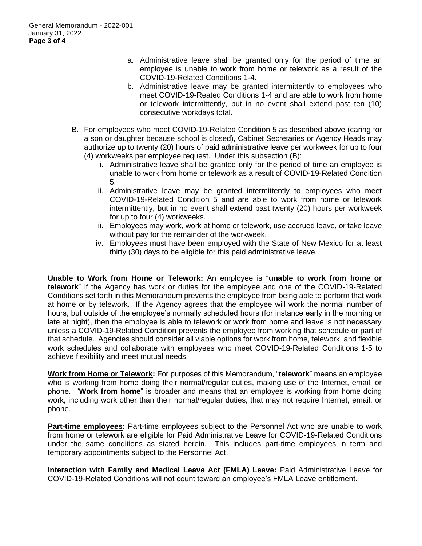- a. Administrative leave shall be granted only for the period of time an employee is unable to work from home or telework as a result of the COVID-19-Related Conditions 1-4.
- b. Administrative leave may be granted intermittently to employees who meet COVID-19-Reated Conditions 1-4 and are able to work from home or telework intermittently, but in no event shall extend past ten (10) consecutive workdays total.
- B. For employees who meet COVID-19-Related Condition 5 as described above (caring for a son or daughter because school is closed), Cabinet Secretaries or Agency Heads may authorize up to twenty (20) hours of paid administrative leave per workweek for up to four (4) workweeks per employee request. Under this subsection (B):
	- i. Administrative leave shall be granted only for the period of time an employee is unable to work from home or telework as a result of COVID-19-Related Condition 5.
	- ii. Administrative leave may be granted intermittently to employees who meet COVID-19-Related Condition 5 and are able to work from home or telework intermittently, but in no event shall extend past twenty (20) hours per workweek for up to four (4) workweeks.
	- iii. Employees may work, work at home or telework, use accrued leave, or take leave without pay for the remainder of the workweek.
	- iv. Employees must have been employed with the State of New Mexico for at least thirty (30) days to be eligible for this paid administrative leave.

**Unable to Work from Home or Telework:** An employee is "**unable to work from home or telework**" if the Agency has work or duties for the employee and one of the COVID-19-Related Conditions set forth in this Memorandum prevents the employee from being able to perform that work at home or by telework. If the Agency agrees that the employee will work the normal number of hours, but outside of the employee's normally scheduled hours (for instance early in the morning or late at night), then the employee is able to telework or work from home and leave is not necessary unless a COVID-19-Related Condition prevents the employee from working that schedule or part of that schedule. Agencies should consider all viable options for work from home, telework, and flexible work schedules and collaborate with employees who meet COVID-19-Related Conditions 1-5 to achieve flexibility and meet mutual needs.

**Work from Home or Telework:** For purposes of this Memorandum, "**telework**" means an employee who is working from home doing their normal/regular duties, making use of the Internet, email, or phone. "**Work from home**" is broader and means that an employee is working from home doing work, including work other than their normal/regular duties, that may not require Internet, email, or phone.

**Part-time employees:** Part-time employees subject to the Personnel Act who are unable to work from home or telework are eligible for Paid Administrative Leave for COVID-19-Related Conditions under the same conditions as stated herein. This includes part-time employees in term and temporary appointments subject to the Personnel Act.

**Interaction with Family and Medical Leave Act (FMLA) Leave:** Paid Administrative Leave for COVID-19-Related Conditions will not count toward an employee's FMLA Leave entitlement.